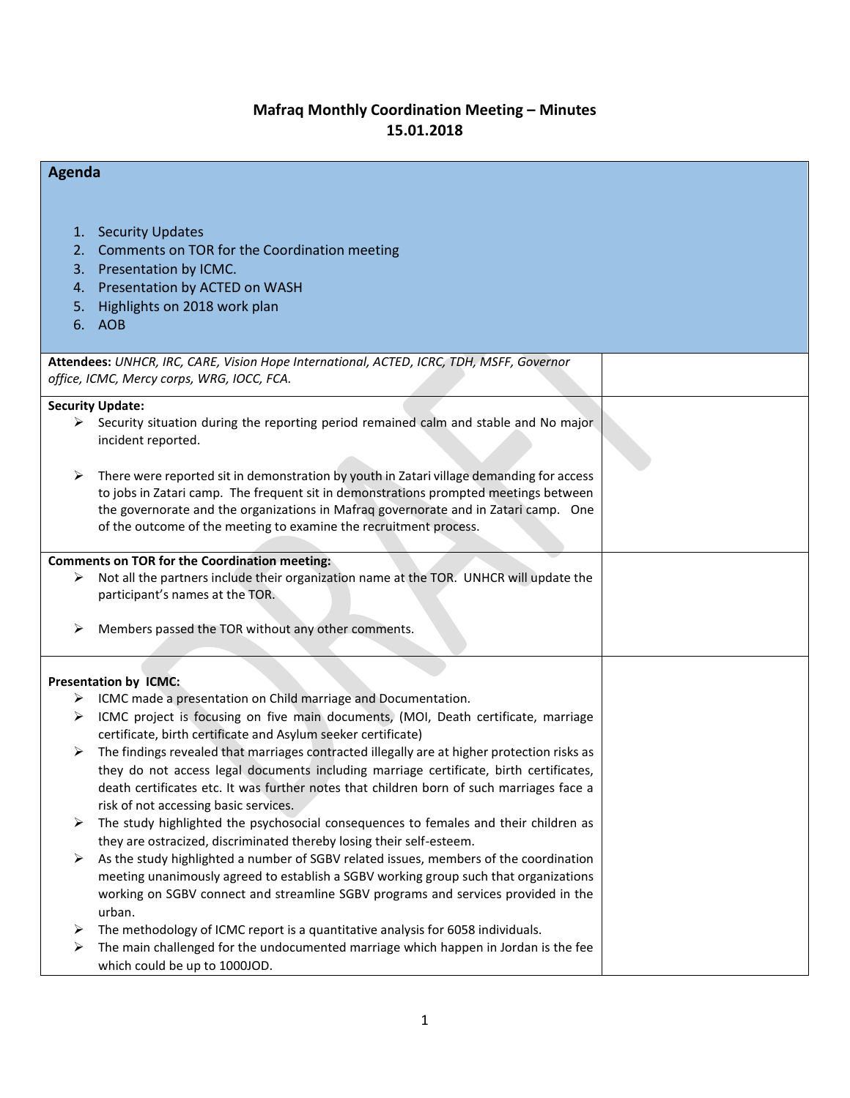## **Mafraq Monthly Coordination Meeting – Minutes 15.01.2018**

| Agenda                                                                                   |                                                                                                                                                                                                                                                                              |  |  |  |
|------------------------------------------------------------------------------------------|------------------------------------------------------------------------------------------------------------------------------------------------------------------------------------------------------------------------------------------------------------------------------|--|--|--|
| 2.<br>3.<br>4.<br>5.<br>6.                                                               | 1. Security Updates<br>Comments on TOR for the Coordination meeting<br>Presentation by ICMC.<br>Presentation by ACTED on WASH<br>Highlights on 2018 work plan<br>AOB                                                                                                         |  |  |  |
| Attendees: UNHCR, IRC, CARE, Vision Hope International, ACTED, ICRC, TDH, MSFF, Governor |                                                                                                                                                                                                                                                                              |  |  |  |
| office, ICMC, Mercy corps, WRG, IOCC, FCA.                                               |                                                                                                                                                                                                                                                                              |  |  |  |
| ≻<br>➤                                                                                   | <b>Security Update:</b><br>Security situation during the reporting period remained calm and stable and No major<br>incident reported.<br>There were reported sit in demonstration by youth in Zatari village demanding for access                                            |  |  |  |
|                                                                                          | to jobs in Zatari camp. The frequent sit in demonstrations prompted meetings between<br>the governorate and the organizations in Mafraq governorate and in Zatari camp. One<br>of the outcome of the meeting to examine the recruitment process.                             |  |  |  |
| ➤                                                                                        | <b>Comments on TOR for the Coordination meeting:</b><br>Not all the partners include their organization name at the TOR. UNHCR will update the                                                                                                                               |  |  |  |
|                                                                                          | participant's names at the TOR.                                                                                                                                                                                                                                              |  |  |  |
| ➤                                                                                        | Members passed the TOR without any other comments.                                                                                                                                                                                                                           |  |  |  |
| <b>Presentation by ICMC:</b>                                                             |                                                                                                                                                                                                                                                                              |  |  |  |
| ➤                                                                                        | ICMC made a presentation on Child marriage and Documentation.                                                                                                                                                                                                                |  |  |  |
| ⋗                                                                                        | ICMC project is focusing on five main documents, (MOI, Death certificate, marriage                                                                                                                                                                                           |  |  |  |
| ➤                                                                                        | certificate, birth certificate and Asylum seeker certificate)<br>The findings revealed that marriages contracted illegally are at higher protection risks as                                                                                                                 |  |  |  |
|                                                                                          | they do not access legal documents including marriage certificate, birth certificates,<br>death certificates etc. It was further notes that children born of such marriages face a<br>risk of not accessing basic services.                                                  |  |  |  |
| ➤                                                                                        | The study highlighted the psychosocial consequences to females and their children as<br>they are ostracized, discriminated thereby losing their self-esteem.                                                                                                                 |  |  |  |
| ➤                                                                                        | As the study highlighted a number of SGBV related issues, members of the coordination<br>meeting unanimously agreed to establish a SGBV working group such that organizations<br>working on SGBV connect and streamline SGBV programs and services provided in the<br>urban. |  |  |  |
| ➤                                                                                        | The methodology of ICMC report is a quantitative analysis for 6058 individuals.                                                                                                                                                                                              |  |  |  |
| ➤                                                                                        | The main challenged for the undocumented marriage which happen in Jordan is the fee<br>which could be up to 1000JOD.                                                                                                                                                         |  |  |  |